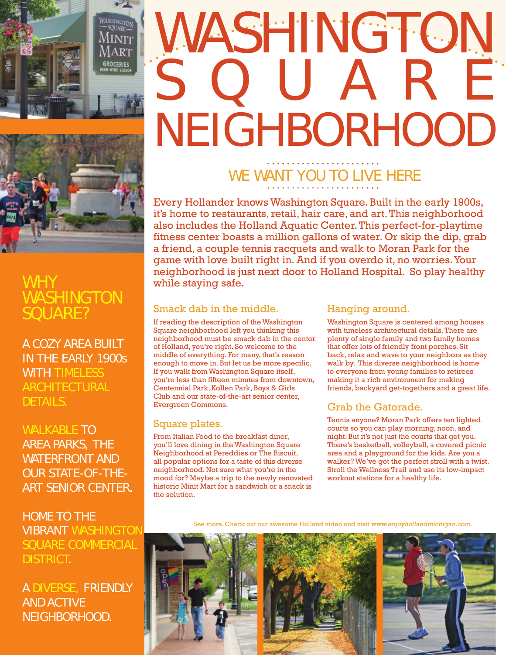

# WASHINGTON SQUARE NEIGHBORHOOD



### **WHY** WASHINGTON SQUARE?

A COZY AREA BUILT IN THE EARLY 1900s WITH TIMELESS ARCHITECTURAL DETAILS.

WALKABLE TO AREA PARKS, THE WATERFRONT AND OUR STATE-OF-THE-ART SENIOR CENTER.

HOME TO THE VIBRANT WASHINGTON SQUARE COMMERCIAL DISTRICT.

A DIVERSE, FRIENDLY AND ACTIVE NEIGHBORHOOD.

## WE WANT YOU TO LIVE HERE

Every Hollander knows Washington Square. Built in the early 1900s, it's home to restaurants, retail, hair care, and art. This neighborhood also includes the Holland Aquatic Center. This perfect-for-playtime fitness center boasts a million gallons of water. Or skip the dip, grab a friend, a couple tennis racquets and walk to Moran Park for the game with love built right in. And if you overdo it, no worries. Your neighborhood is just next door to Holland Hospital. So play healthy while staying safe.

#### Smack dab in the middle.

If reading the description of the Washington Square neighborhood left you thinking this neighborhood must be smack dab in the center of Holland, you're right. So welcome to the middle of everything. For many, that's reason enough to move in. But let us be more specific. If you walk from Washington Square itself, you're less than fifteen minutes from downtown, Centennial Park, Kollen Park, Boys & Girls Club and our state-of-the-art senior center, Evergreen Commons.

#### Square plates.

From Italian Food to the breakfast diner, you'll love dining in the Washington Square Neighborhood at Pereddies or The Biscuit, all popular options for a taste of this diverse neighborhood. Not sure what you're in the mood for? Maybe a trip to the newly renovated historic Minit Mart for a sandwich or a snack is the solution.

#### Hanging around.

Washington Square is centered among houses with timeless architectural details. There are plenty of single family and two family homes that offer lots of friendly front porches. Sit back, relax and wave to your neighbors as they walk by. This diverse neighborhood is home to everyone from young families to retirees making it a rich environment for making friends, backyard get-togethers and a great life.

#### Grab the Gatorade.

Tennis anyone? Moran Park offers ten lighted courts so you can play morning, noon, and night. But it's not just the courts that get you. There's basketball, volleyball, a covered picnic area and a playground for the kids. Are you a walker? We've got the perfect stroll with a twist. Stroll the Wellness Trail and use its low-impact workout stations for a healthy life.

See more. Check out our awesome Holland video and visit www.enjoyhollandmichigan.com.